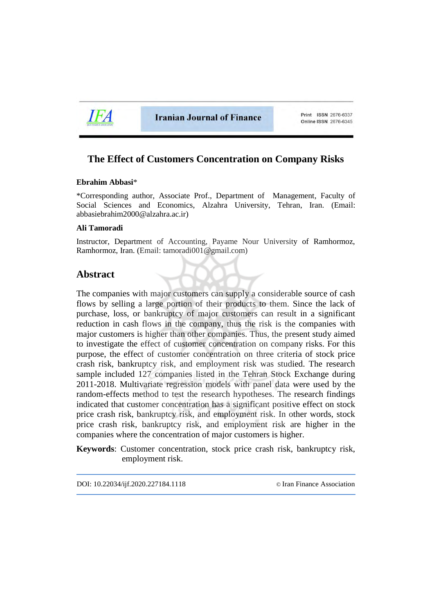

**Iranian Journal of Finance** 

Print ISSN 2676-6337 Online ISSN 2676-6345

# **The Effect of Customers Concentration on Company Risks**

### **Ebrahim Abbasi**\*

\*Corresponding author, Associate Prof., Department of Management, Faculty of Social Sciences and Economics, Alzahra University, Tehran, Iran. (Email: abbasiebrahim2000@alzahra.ac.ir)

### **Ali Tamoradi**

Instructor, Department of Accounting, Payame Nour University of Ramhormoz, Ramhormoz, Iran. (Email: tamoradi001@gmail.com)

# **Abstract**

The companies with major customers can supply a considerable source of cash flows by selling a large portion of their products to them. Since the lack of purchase, loss, or bankruptcy of major customers can result in a significant reduction in cash flows in the company, thus the risk is the companies with major customers is higher than other companies. Thus, the present study aimed to investigate the effect of customer concentration on company risks. For this purpose, the effect of customer concentration on three criteria of stock price crash risk, bankruptcy risk, and employment risk was studied. The research sample included 127 companies listed in the Tehran Stock Exchange during 2011-2018. Multivariate regression models with panel data were used by the random-effects method to test the research hypotheses. The research findings indicated that customer concentration has a significant positive effect on stock price crash risk, bankruptcy risk, and employment risk. In other words, stock price crash risk, bankruptcy risk, and employment risk are higher in the companies where the concentration of major customers is higher.

**Keywords**: Customer concentration, stock price crash risk, bankruptcy risk, employment risk.

DOI: 10.22034/ijf.2020.227184.1118 © [Iran Finance Association](http://ifsa.org.ir/)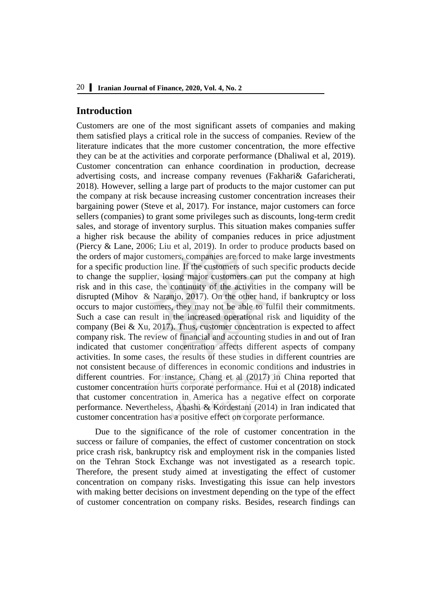# **Introduction**

Customers are one of the most significant assets of companies and making them satisfied plays a critical role in the success of companies. Review of the literature indicates that the more customer concentration, the more effective they can be at the activities and corporate performance (Dhaliwal et al, 2019). Customer concentration can enhance coordination in production, decrease advertising costs, and increase company revenues (Fakhari& Gafaricherati, 2018). However, selling a large part of products to the major customer can put the company at risk because increasing customer concentration increases their bargaining power (Steve et al, 2017). For instance, major customers can force sellers (companies) to grant some privileges such as discounts, long-term credit sales, and storage of inventory surplus. This situation makes companies suffer a higher risk because the ability of companies reduces in price adjustment (Piercy & Lane, 2006; Liu et al, 2019). In order to produce products based on the orders of major customers, companies are forced to make large investments for a specific production line. If the customers of such specific products decide to change the supplier, losing major customers can put the company at high risk and in this case, the continuity of the activities in the company will be disrupted (Mihov & Naranjo, 2017). On the other hand, if bankruptcy or loss occurs to major customers, they may not be able to fulfil their commitments. Such a case can result in the increased operational risk and liquidity of the company (Bei & Xu, 2017). Thus, customer concentration is expected to affect company risk. The review of financial and accounting studies in and out of Iran indicated that customer concentration affects different aspects of company activities. In some cases, the results of these studies in different countries are not consistent because of differences in economic conditions and industries in different countries. For instance, Chang et al (2017) in China reported that customer concentration hurts corporate performance. Hui et al (2018) indicated that customer concentration in America has a negative effect on corporate performance. Nevertheless, Abashi & Kordestani (2014) in Iran indicated that customer concentration has a positive effect on corporate performance.

Due to the significance of the role of customer concentration in the success or failure of companies, the effect of customer concentration on stock price crash risk, bankruptcy risk and employment risk in the companies listed on the Tehran Stock Exchange was not investigated as a research topic. Therefore, the present study aimed at investigating the effect of customer concentration on company risks. Investigating this issue can help investors with making better decisions on investment depending on the type of the effect of customer concentration on company risks. Besides, research findings can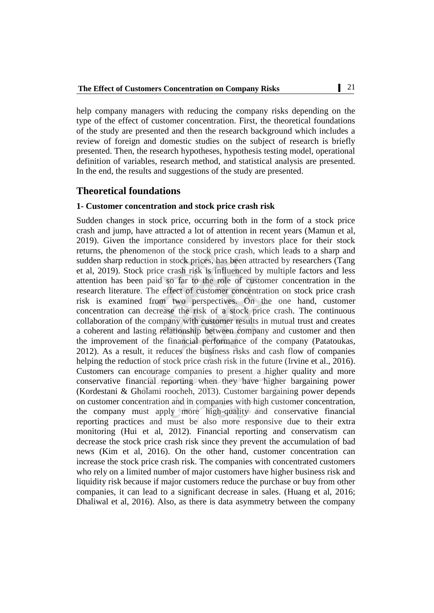help company managers with reducing the company risks depending on the type of the effect of customer concentration. First, the theoretical foundations of the study are presented and then the research background which includes a review of foreign and domestic studies on the subject of research is briefly presented. Then, the research hypotheses, hypothesis testing model, operational definition of variables, research method, and statistical analysis are presented. In the end, the results and suggestions of the study are presented.

# **Theoretical foundations**

### **1- Customer concentration and stock price crash risk**

Sudden changes in stock price, occurring both in the form of a stock price crash and jump, have attracted a lot of attention in recent years (Mamun et al, 2019). Given the importance considered by investors place for their stock returns, the phenomenon of the stock price crash, which leads to a sharp and sudden sharp reduction in stock prices, has been attracted by researchers (Tang et al, 2019). Stock price crash risk is influenced by multiple factors and less attention has been paid so far to the role of customer concentration in the research literature. The effect of customer concentration on stock price crash risk is examined from two perspectives. On the one hand, customer concentration can decrease the risk of a stock price crash. The continuous collaboration of the company with customer results in mutual trust and creates a coherent and lasting relationship between company and customer and then the improvement of the financial performance of the company (Patatoukas, 2012). As a result, it reduces the business risks and cash flow of companies helping the reduction of stock price crash risk in the future (Irvine et al., 2016). Customers can encourage companies to present a higher quality and more conservative financial reporting when they have higher bargaining power (Kordestani & Gholami roocheh, 2013). Customer bargaining power depends on customer concentration and in companies with high customer concentration, the company must apply more high-quality and conservative financial reporting practices and must be also more responsive due to their extra monitoring (Hui et al, 2012). Financial reporting and conservatism can decrease the stock price crash risk since they prevent the accumulation of bad news (Kim et al, 2016). On the other hand, customer concentration can increase the stock price crash risk. The companies with concentrated customers who rely on a limited number of major customers have higher business risk and liquidity risk because if major customers reduce the purchase or buy from other companies, it can lead to a significant decrease in sales. (Huang et al, 2016; Dhaliwal et al, 2016). Also, as there is data asymmetry between the company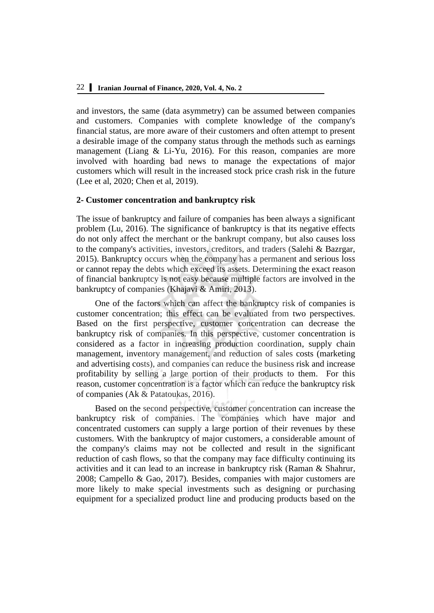and investors, the same (data asymmetry) can be assumed between companies and customers. Companies with complete knowledge of the company's financial status, are more aware of their customers and often attempt to present a desirable image of the company status through the methods such as earnings management (Liang & Li-Yu, 2016). For this reason, companies are more involved with hoarding bad news to manage the expectations of major customers which will result in the increased stock price crash risk in the future (Lee et al, 2020; Chen et al, 2019).

#### **2- Customer concentration and bankruptcy risk**

The issue of bankruptcy and failure of companies has been always a significant problem (Lu, 2016). The significance of bankruptcy is that its negative effects do not only affect the merchant or the bankrupt company, but also causes loss to the company's activities, investors, creditors, and traders (Salehi & Bazrgar, 2015). Bankruptcy occurs when the company has a permanent and serious loss or cannot repay the debts which exceed its assets. Determining the exact reason of financial bankruptcy is not easy because multiple factors are involved in the bankruptcy of companies (Khajavi & Amiri, 2013).

One of the factors which can affect the bankruptcy risk of companies is customer concentration; this effect can be evaluated from two perspectives. Based on the first perspective, customer concentration can decrease the bankruptcy risk of companies. In this perspective, customer concentration is considered as a factor in increasing production coordination, supply chain management, inventory management, and reduction of sales costs (marketing and advertising costs), and companies can reduce the business risk and increase profitability by selling a large portion of their products to them. For this reason, customer concentration is a factor which can reduce the bankruptcy risk of companies (Ak  $\&$  Patatoukas, 2016).

Based on the second perspective, customer concentration can increase the bankruptcy risk of companies. The companies which have major and concentrated customers can supply a large portion of their revenues by these customers. With the bankruptcy of major customers, a considerable amount of the company's claims may not be collected and result in the significant reduction of cash flows, so that the company may face difficulty continuing its activities and it can lead to an increase in bankruptcy risk (Raman & Shahrur, 2008; Campello & Gao, 2017). Besides, companies with major customers are more likely to make special investments such as designing or purchasing equipment for a specialized product line and producing products based on the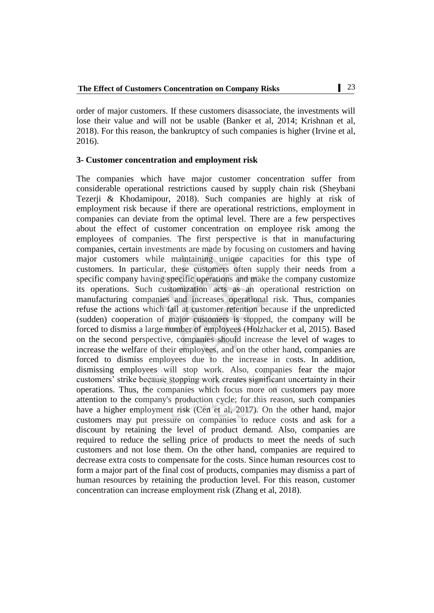order of major customers. If these customers disassociate, the investments will lose their value and will not be usable (Banker et al, 2014; Krishnan et al, 2018). For this reason, the bankruptcy of such companies is higher (Irvine et al, 2016).

### **3- Customer concentration and employment risk**

The companies which have major customer concentration suffer from considerable operational restrictions caused by supply chain risk (Sheybani Tezerji & Khodamipour, 2018). Such companies are highly at risk of employment risk because if there are operational restrictions, employment in companies can deviate from the optimal level. There are a few perspectives about the effect of customer concentration on employee risk among the employees of companies. The first perspective is that in manufacturing companies, certain investments are made by focusing on customers and having major customers while maintaining unique capacities for this type of customers. In particular, these customers often supply their needs from a specific company having specific operations and make the company customize its operations. Such customization acts as an operational restriction on manufacturing companies and increases operational risk. Thus, companies refuse the actions which fail at customer retention because if the unpredicted (sudden) cooperation of major customers is stopped, the company will be forced to dismiss a large number of employees (Holzhacker et al, 2015). Based on the second perspective, companies should increase the level of wages to increase the welfare of their employees, and on the other hand, companies are forced to dismiss employees due to the increase in costs. In addition, dismissing employees will stop work. Also, companies fear the major customers' strike because stopping work creates significant uncertainty in their operations. Thus, the companies which focus more on customers pay more attention to the company's production cycle; for this reason, such companies have a higher employment risk (Cen et al, 2017). On the other hand, major customers may put pressure on companies to reduce costs and ask for a discount by retaining the level of product demand. Also, companies are required to reduce the selling price of products to meet the needs of such customers and not lose them. On the other hand, companies are required to decrease extra costs to compensate for the costs. Since human resources cost to form a major part of the final cost of products, companies may dismiss a part of human resources by retaining the production level. For this reason, customer concentration can increase employment risk (Zhang et al, 2018).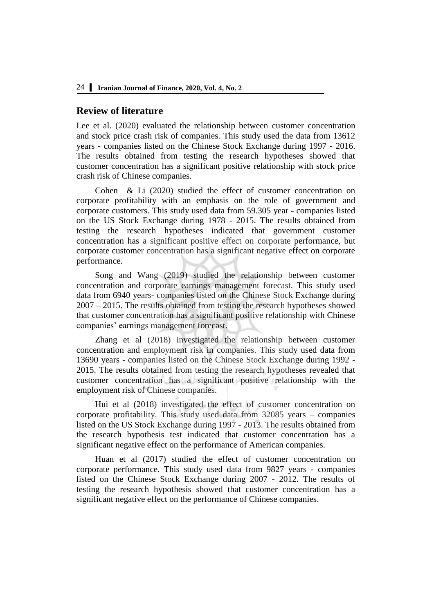# **Review of literature**

Lee et al. (2020) evaluated the relationship between customer concentration and stock price crash risk of companies. This study used the data from 13612 years - companies listed on the Chinese Stock Exchange during 1997 - 2016. The results obtained from testing the research hypotheses showed that customer concentration has a significant positive relationship with stock price crash risk of Chinese companies.

Cohen & Li (2020) studied the effect of customer concentration on corporate profitability with an emphasis on the role of government and corporate customers. This study used data from 59.305 year - companies listed on the US Stock Exchange during 1978 - 2015. The results obtained from testing the research hypotheses indicated that government customer concentration has a significant positive effect on corporate performance, but corporate customer concentration has a significant negative effect on corporate performance.

Song and Wang (2019) studied the relationship between customer concentration and corporate earnings management forecast. This study used data from 6940 years- companies listed on the Chinese Stock Exchange during 2007 – 2015. The results obtained from testing the research hypotheses showed that customer concentration has a significant positive relationship with Chinese companies' earnings management forecast.

Zhang et al (2018) investigated the relationship between customer concentration and employment risk in companies. This study used data from 13690 years - companies listed on the Chinese Stock Exchange during 1992 - 2015. The results obtained from testing the research hypotheses revealed that customer concentration has a significant positive relationship with the employment risk of Chinese companies.

Hui et al (2018) investigated the effect of customer concentration on corporate profitability. This study used data from 32085 years – companies listed on the US Stock Exchange during 1997 - 2013. The results obtained from the research hypothesis test indicated that customer concentration has a significant negative effect on the performance of American companies.

Huan et al (2017) studied the effect of customer concentration on corporate performance. This study used data from 9827 years - companies listed on the Chinese Stock Exchange during 2007 - 2012. The results of testing the research hypothesis showed that customer concentration has a significant negative effect on the performance of Chinese companies.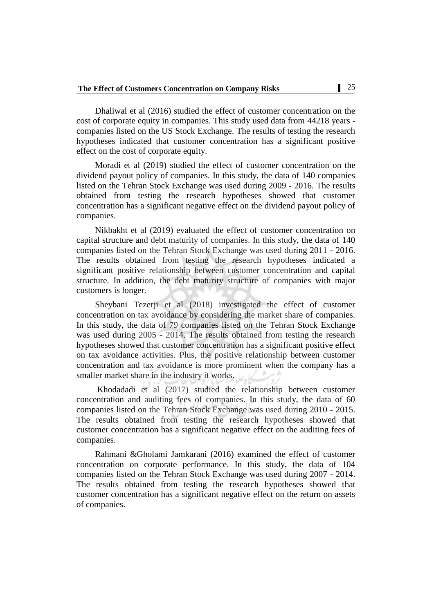Dhaliwal et al (2016) studied the effect of customer concentration on the cost of corporate equity in companies. This study used data from 44218 years companies listed on the US Stock Exchange. The results of testing the research hypotheses indicated that customer concentration has a significant positive effect on the cost of corporate equity.

Moradi et al (2019) studied the effect of customer concentration on the dividend payout policy of companies. In this study, the data of 140 companies listed on the Tehran Stock Exchange was used during 2009 - 2016. The results obtained from testing the research hypotheses showed that customer concentration has a significant negative effect on the dividend payout policy of companies.

Nikbakht et al (2019) evaluated the effect of customer concentration on capital structure and debt maturity of companies. In this study, the data of 140 companies listed on the Tehran Stock Exchange was used during 2011 - 2016. The results obtained from testing the research hypotheses indicated a significant positive relationship between customer concentration and capital structure. In addition, the debt maturity structure of companies with major customers is longer.

Sheybani Tezerji et al (2018) investigated the effect of customer concentration on tax avoidance by considering the market share of companies. In this study, the data of 79 companies listed on the Tehran Stock Exchange was used during 2005 - 2014. The results obtained from testing the research hypotheses showed that customer concentration has a significant positive effect on tax avoidance activities. Plus, the positive relationship between customer concentration and tax avoidance is more prominent when the company has a smaller market share in the industry it works.

Khodadadi et al (2017) studied the relationship between customer concentration and auditing fees of companies. In this study, the data of 60 companies listed on the Tehran Stock Exchange was used during 2010 - 2015. The results obtained from testing the research hypotheses showed that customer concentration has a significant negative effect on the auditing fees of companies.

Rahmani &Gholami Jamkarani (2016) examined the effect of customer concentration on corporate performance. In this study, the data of 104 companies listed on the Tehran Stock Exchange was used during 2007 - 2014. The results obtained from testing the research hypotheses showed that customer concentration has a significant negative effect on the return on assets of companies.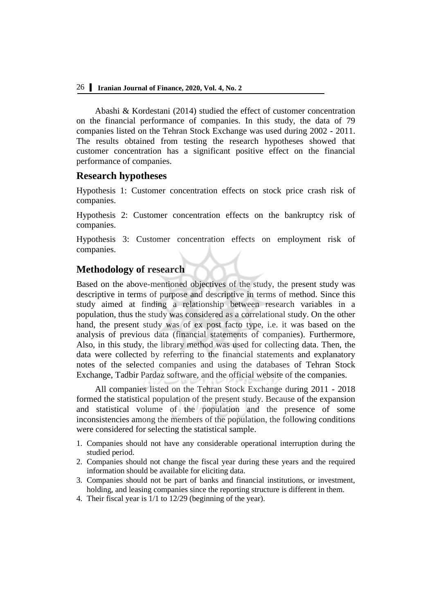Abashi & Kordestani (2014) studied the effect of customer concentration on the financial performance of companies. In this study, the data of 79 companies listed on the Tehran Stock Exchange was used during 2002 - 2011. The results obtained from testing the research hypotheses showed that customer concentration has a significant positive effect on the financial performance of companies.

# **Research hypotheses**

Hypothesis 1: Customer concentration effects on stock price crash risk of companies.

Hypothesis 2: Customer concentration effects on the bankruptcy risk of companies.

Hypothesis 3: Customer concentration effects on employment risk of companies.

# **Methodology of research**

Based on the above-mentioned objectives of the study, the present study was descriptive in terms of purpose and descriptive in terms of method. Since this study aimed at finding a relationship between research variables in a population, thus the study was considered as a correlational study. On the other hand, the present study was of ex post facto type, i.e. it was based on the analysis of previous data (financial statements of companies). Furthermore, Also, in this study, the library method was used for collecting data. Then, the data were collected by referring to the financial statements and explanatory notes of the selected companies and using the databases of Tehran Stock Exchange, Tadbir Pardaz software, and the official website of the companies.

All companies listed on the Tehran Stock Exchange during 2011 - 2018 formed the statistical population of the present study. Because of the expansion and statistical volume of the population and the presence of some inconsistencies among the members of the population, the following conditions were considered for selecting the statistical sample.

- 1. Companies should not have any considerable operational interruption during the studied period.
- 2. Companies should not change the fiscal year during these years and the required information should be available for eliciting data.
- 3. Companies should not be part of banks and financial institutions, or investment, holding, and leasing companies since the reporting structure is different in them.
- 4. Their fiscal year is 1/1 to 12/29 (beginning of the year).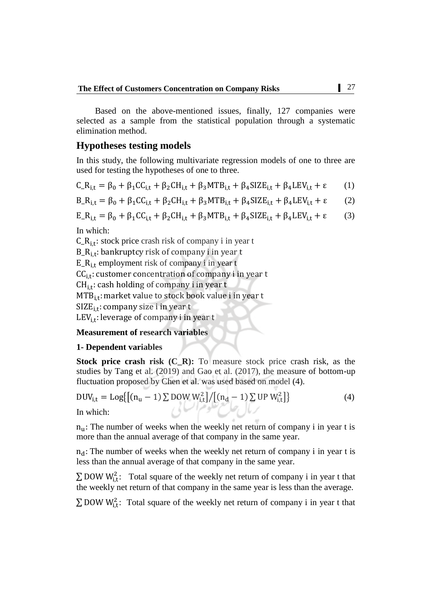Based on the above-mentioned issues, finally, 127 companies were selected as a sample from the statistical population through a systematic elimination method.

# **Hypotheses testing models**

In this study, the following multivariate regression models of one to three are used for testing the hypotheses of one to three.

$$
C_{-}R_{i,t} = \beta_0 + \beta_1 CC_{i,t} + \beta_2 CH_{i,t} + \beta_3 MTB_{i,t} + \beta_4 SIZE_{i,t} + \beta_4 LEV_{i,t} + \epsilon \tag{1}
$$

$$
B_{-}R_{i,t} = \beta_0 + \beta_1 CC_{i,t} + \beta_2 CH_{i,t} + \beta_3 M T B_{i,t} + \beta_4 S I Z E_{i,t} + \beta_4 L E V_{i,t} + \epsilon
$$
 (2)

$$
E_{-}R_{i,t} = \beta_0 + \beta_1 CC_{i,t} + \beta_2 CH_{i,t} + \beta_3 MTB_{i,t} + \beta_4 SIZE_{i,t} + \beta_4 LEV_{i,t} + \epsilon
$$
 (3)

In which:

 $C_R$ <sub>i.t</sub>: stock price crash risk of company i in year t  $B_R$ <sub>i.t</sub>: bankruptcy risk of company i in year t  $E_R$ <sub>it</sub> employment risk of company i in year t  $CC_{i,t}$ : customer concentration of company i in year t  $CH_{i,t}$ : cash holding of company i in year t MTB<sub>i,t</sub>: market value to stock book value i in year t

 $SIZE_{i,t}$ : company size i in year t

 $LEV_{i,t}$ : leverage of company i in year t

# **Measurement of research variables**

### **1- Dependent variables**

**Stock price crash risk (C\_R):** To measure stock price crash risk, as the studies by Tang et al. (2019) and Gao et al. (2017), the measure of bottom-up fluctuation proposed by Chen et al. was used based on model (4).

$$
DUV_{i,t} = Log\{[(n_u - 1) \sum DOW W_{i,t}^2]/[(n_d - 1) \sum UP W_{i,t}^2]\}
$$
\nIn which:

In which:

 $n<sub>u</sub>$ : The number of weeks when the weekly net return of company i in year t is more than the annual average of that company in the same year.

 $n_d$ : The number of weeks when the weekly net return of company i in year t is less than the annual average of that company in the same year.

 $\sum$  DOW W<sub>it</sub>: Total square of the weekly net return of company i in year t that the weekly net return of that company in the same year is less than the average.

 $\sum$  DOW W<sup>2</sup><sub>it</sub>: Total square of the weekly net return of company i in year t that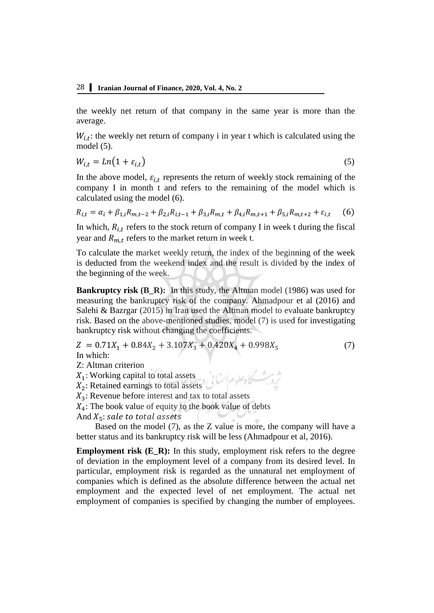the weekly net return of that company in the same year is more than the average.

 $W_{i,t}$ : the weekly net return of company i in year t which is calculated using the model (5).

$$
W_{i,t} = Ln(1 + \varepsilon_{i,t})
$$
\n<sup>(5)</sup>

In the above model,  $\varepsilon_{i,t}$  represents the return of weekly stock remaining of the company I in month t and refers to the remaining of the model which is calculated using the model (6).

$$
R_{i,t} = \alpha_i + \beta_{1,i} R_{m,t-2} + \beta_{2,i} R_{i,t-1} + \beta_{3,i} R_{m,t} + \beta_{4,i} R_{m,t+1} + \beta_{5,i} R_{m,t+2} + \varepsilon_{i,t} \tag{6}
$$

In which,  $R_{i,t}$  refers to the stock return of company I in week t during the fiscal year and  $R_{m}$ , refers to the market return in week t.

To calculate the market weekly return, the index of the beginning of the week is deducted from the weekend index and the result is divided by the index of the beginning of the week.

**Bankruptcy risk (B\_R):** In this study, the Altman model (1986) was used for measuring the bankruptcy risk of the company. Ahmadpour et al (2016) and Salehi & Bazrgar (2015) in Iran used the Altman model to evaluate bankruptcy risk. Based on the above-mentioned studies, model (7) is used for investigating bankruptcy risk without changing the coefficients.

$$
Z = 0.71X_1 + 0.84X_2 + 3.107X_3 + 0.420X_4 + 0.998X_5
$$
 (7)  
In which:

Z: Altman criterion

 $X_1$ : Working capital to total assets

 $X_2$ : Retained earnings to total assets

 $X_3$ : Revenue before interest and tax to total assets

 $X_4$ : The book value of equity to the book value of debts

And  $X_5$ : sale to total assets

Based on the model (7), as the Z value is more, the company will have a better status and its bankruptcy risk will be less (Ahmadpour et al, 2016).

**Employment risk (E\_R):** In this study, employment risk refers to the degree of deviation in the employment level of a company from its desired level. In particular, employment risk is regarded as the unnatural net employment of companies which is defined as the absolute difference between the actual net employment and the expected level of net employment. The actual net employment of companies is specified by changing the number of employees.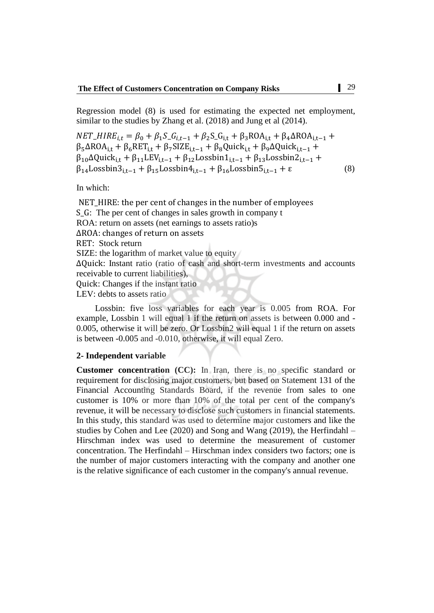Regression model (8) is used for estimating the expected net employment, similar to the studies by Zhang et al. (2018) and Jung et al (2014).

$$
NET\_HIRE_{i,t} = \beta_0 + \beta_1 S_- G_{i,t-1} + \beta_2 S_- G_{i,t} + \beta_3 ROA_{i,t} + \beta_4 \Delta ROA_{i,t-1} + \beta_5 \Delta ROA_{i,t} + \beta_6 RET_{i,t} + \beta_7 SIZE_{i,t-1} + \beta_8 Quick_{i,t} + \beta_9 \Delta Quick_{i,t-1} + \beta_{10} \Delta Quick_{i,t} + \beta_{11} LEV_{i,t-1} + \beta_{12} Lossbin1_{i,t-1} + \beta_{13} Lossbin2_{i,t-1} + \beta_{14} Lossbin3_{i,t-1} + \beta_{15} Lossbin4_{i,t-1} + \beta_{16} Lossbin5_{i,t-1} + \epsilon
$$
\n(8)

In which:

NET\_HIRE: the per cent of changes in the number of employees : The per cent of changes in sales growth in company t ROA: return on assets (net earnings to assets ratio)s ΔROA: changes of return on assets RET: Stock return SIZE: the logarithm of market value to equity  $\Delta$ Quick: Instant ratio (ratio of cash and short-term investments and accounts receivable to current liabilities), : Changes if the instant ratio LEV: debts to assets ratio

Lossbin: five loss variables for each year is 0.005 from ROA. For example, Lossbin 1 will equal 1 if the return on assets is between 0.000 and - 0.005, otherwise it will be zero. Or Lossbin2 will equal 1 if the return on assets is between -0.005 and -0.010, otherwise, it will equal Zero.

#### **2- Independent variable**

**Customer concentration (CC):** In Iran, there is no specific standard or requirement for disclosing major customers, but based on Statement 131 of the Financial Accounting Standards Board, if the revenue from sales to one customer is 10% or more than 10% of the total per cent of the company's revenue, it will be necessary to disclose such customers in financial statements. In this study, this standard was used to determine major customers and like the studies by Cohen and Lee (2020) and Song and Wang (2019), the Herfindahl – Hirschman index was used to determine the measurement of customer concentration. The Herfindahl – Hirschman index considers two factors; one is the number of major customers interacting with the company and another one is the relative significance of each customer in the company's annual revenue.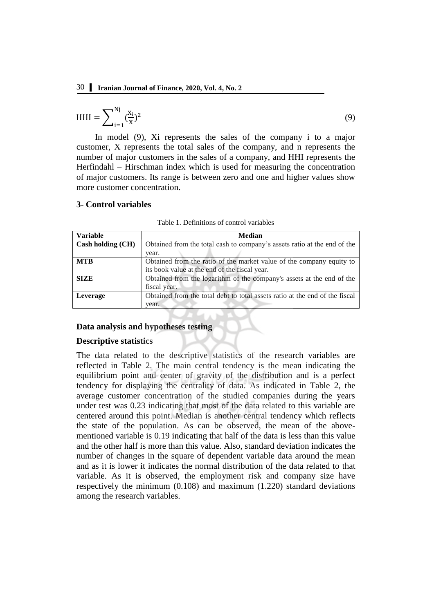$$
HHI = \sum_{i=1}^{Nj} (\frac{x_i}{x})^2
$$
 (9)

In model (9), Xi represents the sales of the company i to a major customer, X represents the total sales of the company, and n represents the number of major customers in the sales of a company, and HHI represents the Herfindahl – Hirschman index which is used for measuring the concentration of major customers. Its range is between zero and one and higher values show more customer concentration.

#### **3- Control variables**

| <b>Variable</b>   | <b>Median</b>                                                               |  |  |  |
|-------------------|-----------------------------------------------------------------------------|--|--|--|
| Cash holding (CH) | Obtained from the total cash to company's assets ratio at the end of the    |  |  |  |
|                   | year.                                                                       |  |  |  |
| <b>MTB</b>        | Obtained from the ratio of the market value of the company equity to        |  |  |  |
|                   | its book value at the end of the fiscal year.                               |  |  |  |
| <b>SIZE</b>       | Obtained from the logarithm of the company's assets at the end of the       |  |  |  |
|                   | fiscal year.                                                                |  |  |  |
| Leverage          | Obtained from the total debt to total assets ratio at the end of the fiscal |  |  |  |
|                   | year.                                                                       |  |  |  |

Table 1. Definitions of control variables

#### **Data analysis and hypotheses testing**

#### **Descriptive statistics**

The data related to the descriptive statistics of the research variables are reflected in Table 2. The main central tendency is the mean indicating the equilibrium point and center of gravity of the distribution and is a perfect tendency for displaying the centrality of data. As indicated in Table 2, the average customer concentration of the studied companies during the years under test was 0.23 indicating that most of the data related to this variable are centered around this point. Median is another central tendency which reflects the state of the population. As can be observed, the mean of the abovementioned variable is 0.19 indicating that half of the data is less than this value and the other half is more than this value. Also, standard deviation indicates the number of changes in the square of dependent variable data around the mean and as it is lower it indicates the normal distribution of the data related to that variable. As it is observed, the employment risk and company size have respectively the minimum (0.108) and maximum (1.220) standard deviations among the research variables.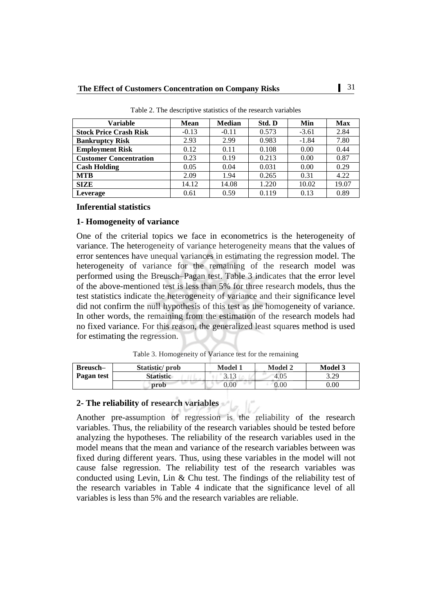| <b>Variable</b>               | <b>Mean</b> | <b>Median</b> | Std. D | Min     | <b>Max</b> |
|-------------------------------|-------------|---------------|--------|---------|------------|
| <b>Stock Price Crash Risk</b> | $-0.13$     | $-0.11$       | 0.573  | $-3.61$ | 2.84       |
| <b>Bankruptcy Risk</b>        | 2.93        | 2.99          | 0.983  | $-1.84$ | 7.80       |
| <b>Employment Risk</b>        | 0.12        | 0.11          | 0.108  | 0.00    | 0.44       |
| <b>Customer Concentration</b> | 0.23        | 0.19          | 0.213  | 0.00    | 0.87       |
| <b>Cash Holding</b>           | 0.05        | 0.04          | 0.031  | 0.00    | 0.29       |
| <b>MTB</b>                    | 2.09        | 1.94          | 0.265  | 0.31    | 4.22       |
| <b>SIZE</b>                   | 14.12       | 14.08         | 1.220  | 10.02   | 19.07      |
| Leverage                      | 0.61        | 0.59          | 0.119  | 0.13    | 0.89       |

Table 2. The descriptive statistics of the research variables

### **Inferential statistics**

### **1- Homogeneity of variance**

One of the criterial topics we face in econometrics is the heterogeneity of variance. The heterogeneity of variance heterogeneity means that the values of error sentences have unequal variances in estimating the regression model. The heterogeneity of variance for the remaining of the research model was performed using the Breusch–Pagan test. Table 3 indicates that the error level of the above-mentioned test is less than 5% for three research models, thus the test statistics indicate the heterogeneity of variance and their significance level did not confirm the null hypothesis of this test as the homogeneity of variance. In other words, the remaining from the estimation of the research models had no fixed variance. For this reason, the generalized least squares method is used for estimating the regression.

Table 3. Homogeneity of Variance test for the remaining

| Breusch-   | Statistic/prob   | <b>Model 1</b> | <b>Model 2</b> | <b>Model 3</b> |
|------------|------------------|----------------|----------------|----------------|
| Pagan test | <b>Statistic</b> | 212<br>J.IJ    | 4.05           | 3.29           |
|            | prob             | 0.00           | $0.00\,$       | $0.00\,$       |

# **2- The reliability of research variables**

Another pre-assumption of regression is the reliability of the research variables. Thus, the reliability of the research variables should be tested before analyzing the hypotheses. The reliability of the research variables used in the model means that the mean and variance of the research variables between was fixed during different years. Thus, using these variables in the model will not cause false regression. The reliability test of the research variables was conducted using Levin, Lin & Chu test. The findings of the reliability test of the research variables in Table 4 indicate that the significance level of all variables is less than 5% and the research variables are reliable.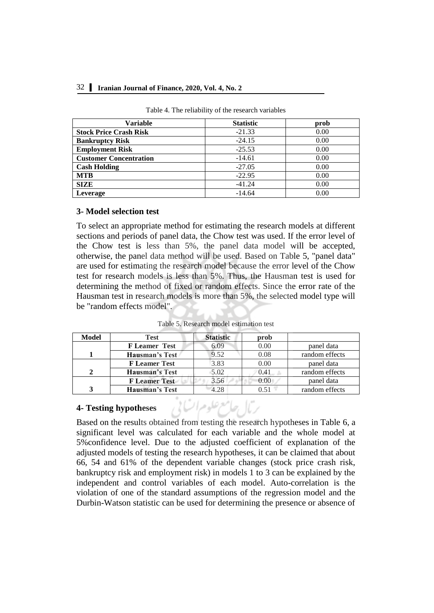### 32 **Iranian Journal of Finance, 2020, Vol. 4, No. 2**

| Variable                      | <b>Statistic</b> | prob |
|-------------------------------|------------------|------|
| <b>Stock Price Crash Risk</b> | $-21.33$         | 0.00 |
| <b>Bankruptcy Risk</b>        | $-24.15$         | 0.00 |
| <b>Employment Risk</b>        | $-25.53$         | 0.00 |
| <b>Customer Concentration</b> | $-14.61$         | 0.00 |
| <b>Cash Holding</b>           | $-27.05$         | 0.00 |
| <b>MTB</b>                    | $-22.95$         | 0.00 |
| <b>SIZE</b>                   | $-41.24$         | 0.00 |
| Leverage                      | $-14.64$         | 0.00 |

#### Table 4. The reliability of the research variables

# **3- Model selection test**

To select an appropriate method for estimating the research models at different sections and periods of panel data, the Chow test was used. If the error level of the Chow test is less than 5%, the panel data model will be accepted, otherwise, the panel data method will be used. Based on Table 5, "panel data" are used for estimating the research model because the error level of the Chow test for research models is less than 5%. Thus, the Hausman test is used for determining the method of fixed or random effects. Since the error rate of the Hausman test in research models is more than 5%, the selected model type will be "random effects model".

| Table 5. Research model estimation test |              |
|-----------------------------------------|--------------|
| $C_{4} = 4.2 - 4.2$                     | . <b>I</b> . |

| Model                       | <b>Test</b>           | <b>Statistic</b> | prob |                |
|-----------------------------|-----------------------|------------------|------|----------------|
|                             | <b>F</b> Leamer Test  | 6.09             | 0.00 | panel data     |
|                             | Hausman's Test        | 9.52             | 0.08 | random effects |
|                             | <b>F</b> Leamer Test  | 3.83             | 0.00 | panel data     |
| $\mathcal{D}_{\mathcal{L}}$ | <b>Hausman's Test</b> | 5.02             | 0.41 | random effects |
|                             | <b>F</b> Leamer Test  | 3.56             | 0.00 | panel data     |
| 3                           | <b>Hausman's Test</b> | 4.28             | 0.51 | random effects |

# **4- Testing hypotheses**

Based on the results obtained from testing the research hypotheses in Table 6, a significant level was calculated for each variable and the whole model at 5%confidence level. Due to the adjusted coefficient of explanation of the adjusted models of testing the research hypotheses, it can be claimed that about 66, 54 and 61% of the dependent variable changes (stock price crash risk, bankruptcy risk and employment risk) in models 1 to 3 can be explained by the independent and control variables of each model. Auto-correlation is the violation of one of the standard assumptions of the regression model and the Durbin-Watson statistic can be used for determining the presence or absence of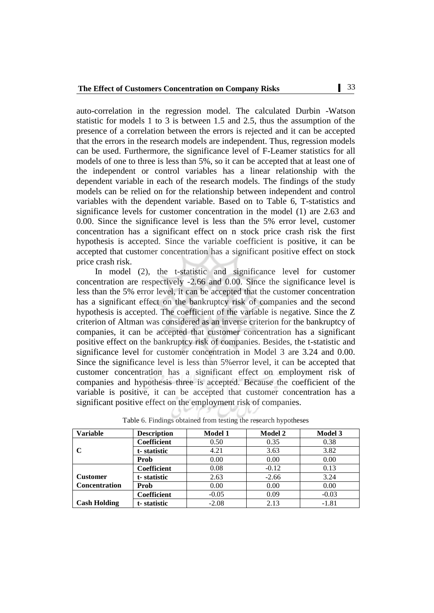auto-correlation in the regression model. The calculated Durbin -Watson statistic for models 1 to 3 is between 1.5 and 2.5, thus the assumption of the presence of a correlation between the errors is rejected and it can be accepted that the errors in the research models are independent. Thus, regression models can be used. Furthermore, the significance level of F-Leamer statistics for all models of one to three is less than 5%, so it can be accepted that at least one of the independent or control variables has a linear relationship with the dependent variable in each of the research models. The findings of the study models can be relied on for the relationship between independent and control variables with the dependent variable. Based on to Table 6, T-statistics and significance levels for customer concentration in the model (1) are 2.63 and 0.00. Since the significance level is less than the 5% error level, customer concentration has a significant effect on n stock price crash risk the first hypothesis is accepted. Since the variable coefficient is positive, it can be accepted that customer concentration has a significant positive effect on stock price crash risk.

In model (2), the t-statistic and significance level for customer concentration are respectively -2.66 and 0.00. Since the significance level is less than the 5% error level, it can be accepted that the customer concentration has a significant effect on the bankruptcy risk of companies and the second hypothesis is accepted. The coefficient of the variable is negative. Since the Z criterion of Altman was considered as an inverse criterion for the bankruptcy of companies, it can be accepted that customer concentration has a significant positive effect on the bankruptcy risk of companies. Besides, the t-statistic and significance level for customer concentration in Model 3 are 3.24 and 0.00. Since the significance level is less than 5%error level, it can be accepted that customer concentration has a significant effect on employment risk of companies and hypothesis three is accepted. Because the coefficient of the variable is positive, it can be accepted that customer concentration has a significant positive effect on the employment risk of companies.

| <b>Variable</b>      | <b>Description</b> | <b>Model 1</b> | <b>Model 2</b> | <b>Model 3</b> |
|----------------------|--------------------|----------------|----------------|----------------|
|                      | Coefficient        | 0.50           | 0.35           | 0.38           |
| C                    | t-statistic        | 4.21           | 3.63           | 3.82           |
|                      | Prob               | 0.00           | 0.00           | 0.00           |
|                      | Coefficient        | 0.08           | $-0.12$        | 0.13           |
| <b>Customer</b>      | t-statistic        | 2.63           | $-2.66$        | 3.24           |
| <b>Concentration</b> | Prob               | 0.00           | 0.00           | 0.00           |
|                      | <b>Coefficient</b> | $-0.05$        | 0.09           | $-0.03$        |
| <b>Cash Holding</b>  | t-statistic        | $-2.08$        | 2.13           | $-1.81$        |

Table 6. Findings obtained from testing the research hypotheses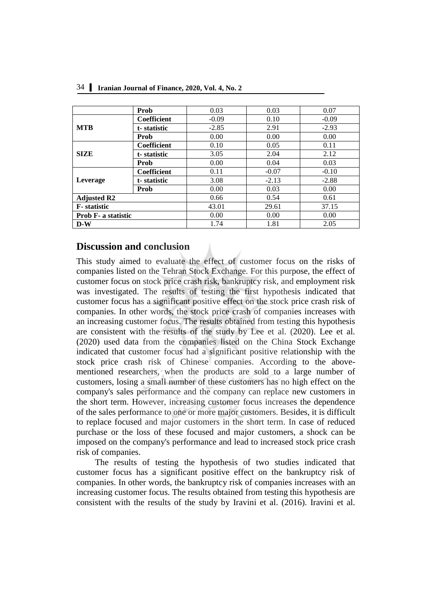|                            | Prob               | 0.03    | 0.03    | 0.07    |
|----------------------------|--------------------|---------|---------|---------|
|                            | <b>Coefficient</b> | $-0.09$ | 0.10    | $-0.09$ |
| <b>MTB</b>                 | t-statistic        | $-2.85$ | 2.91    | $-2.93$ |
|                            | Prob               | 0.00    | 0.00    | 0.00    |
|                            | <b>Coefficient</b> | 0.10    | 0.05    | 0.11    |
| <b>SIZE</b>                | t-statistic        | 3.05    | 2.04    | 2.12    |
|                            | Prob               | 0.00    | 0.04    | 0.03    |
| Leverage                   | <b>Coefficient</b> | 0.11    | $-0.07$ | $-0.10$ |
|                            | t-statistic        | 3.08    | $-2.13$ | $-2.88$ |
|                            | Prob               | 0.00    | 0.03    | 0.00    |
| <b>Adjusted R2</b>         |                    | 0.66    | 0.54    | 0.61    |
| <b>F</b> -statistic        |                    | 43.01   | 29.61   | 37.15   |
| <b>Prob F- a statistic</b> |                    | 0.00    | 0.00    | 0.00    |
| $D-W$                      |                    | 1.74    | 1.81    | 2.05    |

# **Discussion and conclusion**

This study aimed to evaluate the effect of customer focus on the risks of companies listed on the Tehran Stock Exchange. For this purpose, the effect of customer focus on stock price crash risk, bankruptcy risk, and employment risk was investigated. The results of testing the first hypothesis indicated that customer focus has a significant positive effect on the stock price crash risk of companies. In other words, the stock price crash of companies increases with an increasing customer focus. The results obtained from testing this hypothesis are consistent with the results of the study by Lee et al. (2020). Lee et al. (2020) used data from the companies listed on the China Stock Exchange indicated that customer focus had a significant positive relationship with the stock price crash risk of Chinese companies. According to the abovementioned researchers, when the products are sold to a large number of customers, losing a small number of these customers has no high effect on the company's sales performance and the company can replace new customers in the short term. However, increasing customer focus increases the dependence of the sales performance to one or more major customers. Besides, it is difficult to replace focused and major customers in the short term. In case of reduced purchase or the loss of these focused and major customers, a shock can be imposed on the company's performance and lead to increased stock price crash risk of companies.

The results of testing the hypothesis of two studies indicated that customer focus has a significant positive effect on the bankruptcy risk of companies. In other words, the bankruptcy risk of companies increases with an increasing customer focus. The results obtained from testing this hypothesis are consistent with the results of the study by Iravini et al. (2016). Iravini et al.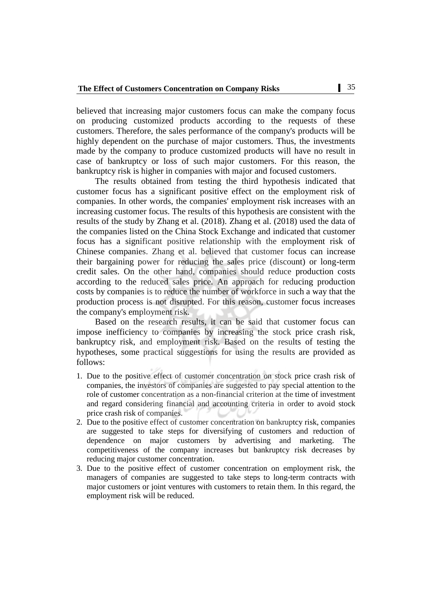believed that increasing major customers focus can make the company focus on producing customized products according to the requests of these customers. Therefore, the sales performance of the company's products will be highly dependent on the purchase of major customers. Thus, the investments made by the company to produce customized products will have no result in case of bankruptcy or loss of such major customers. For this reason, the bankruptcy risk is higher in companies with major and focused customers.

The results obtained from testing the third hypothesis indicated that customer focus has a significant positive effect on the employment risk of companies. In other words, the companies' employment risk increases with an increasing customer focus. The results of this hypothesis are consistent with the results of the study by Zhang et al. (2018). Zhang et al. (2018) used the data of the companies listed on the China Stock Exchange and indicated that customer focus has a significant positive relationship with the employment risk of Chinese companies. Zhang et al. believed that customer focus can increase their bargaining power for reducing the sales price (discount) or long-term credit sales. On the other hand, companies should reduce production costs according to the reduced sales price. An approach for reducing production costs by companies is to reduce the number of workforce in such a way that the production process is not disrupted. For this reason, customer focus increases the company's employment risk.

Based on the research results, it can be said that customer focus can impose inefficiency to companies by increasing the stock price crash risk, bankruptcy risk, and employment risk. Based on the results of testing the hypotheses, some practical suggestions for using the results are provided as follows:

- 1. Due to the positive effect of customer concentration on stock price crash risk of companies, the investors of companies are suggested to pay special attention to the role of customer concentration as a non-financial criterion at the time of investment and regard considering financial and accounting criteria in order to avoid stock price crash risk of companies.
- 2. Due to the positive effect of customer concentration on bankruptcy risk, companies are suggested to take steps for diversifying of customers and reduction of dependence on major customers by advertising and marketing. The competitiveness of the company increases but bankruptcy risk decreases by reducing major customer concentration.
- 3. Due to the positive effect of customer concentration on employment risk, the managers of companies are suggested to take steps to long-term contracts with major customers or joint ventures with customers to retain them. In this regard, the employment risk will be reduced.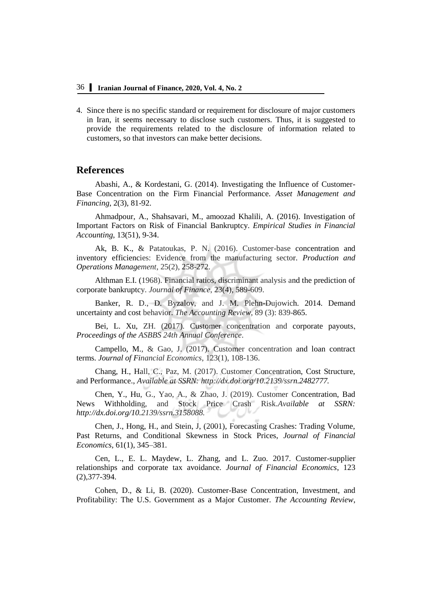4. Since there is no specific standard or requirement for disclosure of major customers in Iran, it seems necessary to disclose such customers. Thus, it is suggested to provide the requirements related to the disclosure of information related to customers, so that investors can make better decisions.

### **References**

Abashi, A., & Kordestani, G. (2014). Investigating the Influence of Customer-Base Concentration on the Firm Financial Performance. *Asset Management and Financing*, 2(3), 81-92.

Ahmadpour, A., Shahsavari, M., amoozad Khalili, A. (2016). Investigation of Important Factors on Risk of Financial Bankruptcy. *Empirical Studies in Financial Accounting*, 13(51), 9-34.

Ak, B. K., & Patatoukas, P. N. (2016). Customer-base concentration and inventory efficiencies: Evidence from the manufacturing sector. *Production and Operations Management*, 25(2), 258-272.

Althman E.I. (1968). Financial ratios, discriminant analysis and the prediction of corporate bankruptcy. *Journal of Finance*, 23(4), 589-609.

Banker, R. D., D. Byzalov, and J. M. Plehn-Dujowich. 2014. Demand uncertainty and cost behavior. *The Accounting Review*, 89 (3): 839-865.

Bei, L. Xu, ZH. (2017). Customer concentration and corporate payouts, *Proceedings of the ASBBS 24th Annual Conference*.

Campello, M., & Gao, J. (2017). Customer concentration and loan contract terms. *Journal of Financial Economics*, 123(1), 108-136.

Chang, H., Hall, C., Paz, M. (2017). Customer Concentration, Cost Structure, and Performance., *Available at SSRN: http://dx.doi.org/10.2139/ssrn.2482777.* 

Chen, Y., Hu, G., Yao, A., & Zhao, J. (2019). Customer Concentration, Bad News Withholding, and Stock Price Crash Risk.*Available at SSRN: <http://dx.doi.org/10.2139/ssrn.3158088.>*

Chen, J., Hong, H., and Stein, J, (2001), Forecasting Crashes: Trading Volume, Past Returns, and Conditional Skewness in Stock Prices, *Journal of Financial Economics*, 61(1), 345–381.

Cen, L., E. L. Maydew, L. Zhang, and L. Zuo. 2017. Customer-supplier relationships and corporate tax avoidance. *Journal of Financial Economics*, 123 (2),377-394.

Cohen, D., & Li, B. (2020). Customer-Base Concentration, Investment, and Profitability: The U.S. Government as a Major Customer. *The Accounting Review*,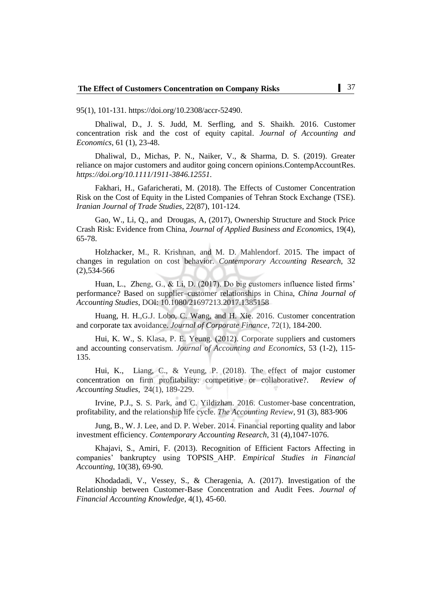95(1), 101-131. https://doi.org/10.2308/accr-52490.

Dhaliwal, D., J. S. Judd, M. Serfling, and S. Shaikh. 2016. Customer concentration risk and the cost of equity capital. *Journal of Accounting and Economics*, 61 (1), 23-48.

Dhaliwal, D., Michas, P. N., Naiker, V., & Sharma, D. S. (2019). Greater reliance on major customers and auditor going concern opinions.ContempAccountRes. *https://doi.org/10.1111/1911-3846.12551.* 

Fakhari, H., Gafaricherati, M. (2018). The Effects of Customer Concentration Risk on the Cost of Equity in the Listed Companies of Tehran Stock Exchange (TSE). *Iranian Journal of Trade Studies*, 22(87), 101-124.

Gao, W., Li, Q., and Drougas, A, (2017), Ownership Structure and Stock Price Crash Risk: Evidence from China, *Journal of Applied Business and Econom*ics, 19(4), 65-78.

Holzhacker, M., R. Krishnan, and M. D. Mahlendorf. 2015. The impact of changes in regulation on cost behavior. *Contemporary Accounting Research*, 32 (2),534-566

Huan, L., Zheng, G., & Li, D. (2017). Do big customers influence listed firms' performance? Based on supplier–customer relationships in China, *China Journal of Accounting Studies*, DOI: 10.1080/21697213.2017.1385158

Huang, H. H.,G.J. Lobo, C. Wang, and H. Xie. 2016. Customer concentration and corporate tax avoidance. *Journal of Corporate Finance*, 72(1), 184-200.

Hui, K. W., S. Klasa, P. E. Yeung. (2012). Corporate suppliers and customers and accounting conservatism*. Journal of Accounting and Economics*, 53 (1-2), 115- 135.

Hui, K., Liang, C., & Yeung, P. (2018). The effect of major customer concentration on firm profitability: competitive or collaborative?. *Review of Accounting Studies*, 24(1), 189-229.

Irvine, P.J., S. S. Park, and C. Yildizhan. 2016. Customer-base concentration, profitability, and the relationship life cycle. *The Accounting Review*, 91 (3), 883-906

Jung, B., W. J. Lee, and D. P. Weber. 2014. Financial reporting quality and labor investment efficiency. *Contemporary Accounting Research*, 31 (4),1047-1076.

Khajavi, S., Amiri, F. (2013). Recognition of Efficient Factors Affecting in companies' bankruptcy using TOPSIS\_AHP. *Empirical Studies in Financial Accounting*, 10(38), 69-90.

Khodadadi, V., Vessey, S., & Cheragenia, A. (2017). Investigation of the Relationship between Customer-Base Concentration and Audit Fees. *Journal of Financial Accounting Knowledge*, 4(1), 45-60.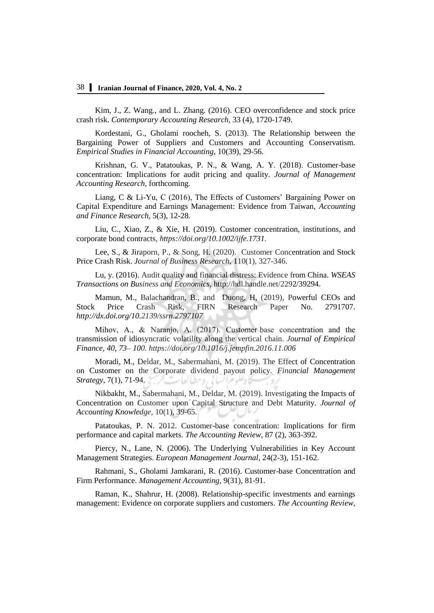Kim, J., Z. Wang., and L. Zhang. (2016). CEO overconfidence and stock price crash risk. *Contemporary Accounting Research*, 33 (4), 1720-1749.

Kordestani, G., Gholami roocheh, S. (2013). The Relationship between the Bargaining Power of Suppliers and Customers and Accounting Conservatism. *Empirical Studies in Financial Accounting*, 10(39), 29-56.

Krishnan, G. V., Patatoukas, P. N., & Wang, A. Y. (2018). Customer-base concentration: Implications for audit pricing and quality. *Journal of Management Accounting Research*, forthcoming.

Liang, C & Li-Yu, C (2016), The Effects of Customers' Bargaining Power on Capital Expenditure and Earnings Management: Evidence from Taiwan, *Accounting and Finance Research*, 5(3), 12-28.

Liu, C., Xiao, Z., & Xie, H. (2019). Customer concentration, institutions, and corporate bond contracts, *https://doi.org/10.1002/ijfe.1731.* 

Lee, S., & Jiraporn, P., & Song, H. (2020). Customer Concentration and Stock Price Crash Risk. *Journal of Business Research*, 110(1), 327-346.

Lu, y. (2016). Audit quality and financial distress: Evidence from China. *WSEAS Transactions on Business and Economics*, [http://hdl.handle.net/2292/39294.](http://hdl.handle.net/2292/39294)

Mamun, M., Balachandran, B., and Duong, H, (2019), Powerful CEOs and Stock Price Crash Risk, FIRN Research Paper No. 2791707*. <http://dx.doi.org/10.2139/ssrn.2797107>*

Mihov, A., & Naranjo, A. (2017). Customer base concentration and the transmission of idiosyncratic volatility along the vertical chain. *Journal of Empirical Finance, 40, 73– 100.<https://doi.org/10.1016/j.jempfin.2016.11.006>*

Moradi, M., Deldar, M., Sabermahani, M. (2019). The Effect of Concentration on Customer on the Corporate dividend payout policy. *Financial Management Strategy*, 7(1), 71-94.

Nikbakht, M., Sabermahani, M., Deldar, M. (2019). Investigating the Impacts of Concentration on Customer upon Capital Structure and Debt Maturity. *Journal of Accounting Knowledge*, 10(1), 39-65.

Patatoukas, P. N. 2012. Customer-base concentration: Implications for firm performance and capital markets. *The Accounting Review*, 87 (2), 363-392.

Piercy, N., Lane, N. (2006). The Underlying Vulnerabilities in Key Account Management Strategies. *European Management Journal*, 24(2-3), 151-162.

Rahmani, S., Gholami Jamkarani, R. (2016). Customer-base Concentration and Firm Performance. *Management Accounting*, 9(31), 81-91.

Raman, K., Shahrur, H. (2008). Relationship-specific investments and earnings management: Evidence on corporate suppliers and customers. *The Accounting Review*,